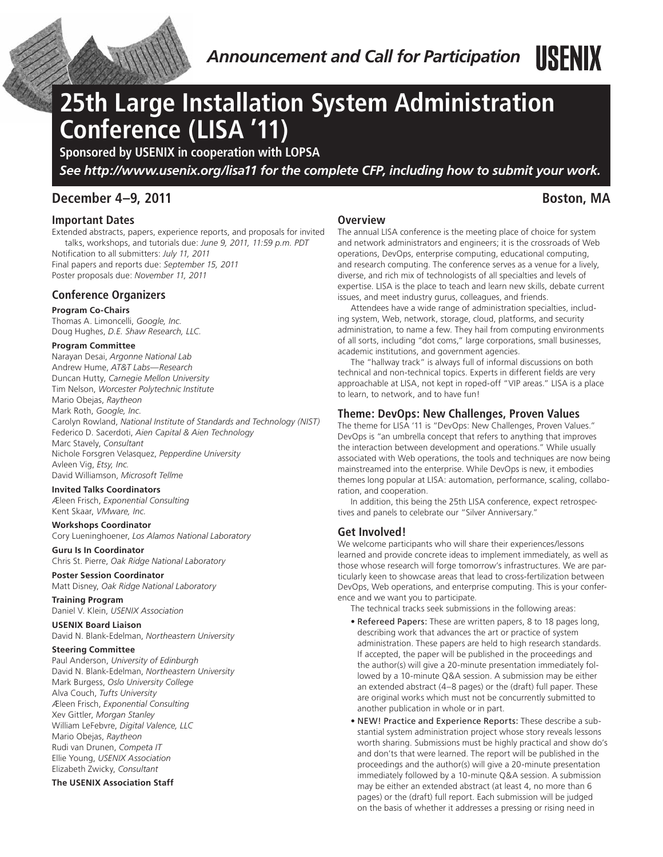

# **25th Large Installation System Administration Conference (LISA '11)**

**Sponsored by USENIX in cooperation with LOPSA**

*See http://www.usenix.org/lisa11 for the complete CFP, including how to submit your work.*

# **December 4–9, 2011 Boston, MA**

# **Important Dates**

Extended abstracts, papers, experience reports, and proposals for invited talks, workshops, and tutorials due: *June 9, 2011, 11:59 p.m. PDT* Notification to all submitters: *July 11, 2011*

Final papers and reports due: *September 15, 2011* Poster proposals due: *November 11, 2011*

# **Conference Organizers**

#### **Program Co-Chairs**

Thomas A. Limoncelli, *Google, Inc.* Doug Hughes, *D.E. Shaw Research, LLC.*

### **Program Committee**

Narayan Desai, *Argonne National Lab* Andrew Hume, *AT&T Labs—Research* Duncan Hutty, *Carnegie Mellon University* Tim Nelson, *Worcester Polytechnic Institute* Mario Obejas, *Raytheon* Mark Roth, *Google, Inc.* Carolyn Rowland, *National Institute of Standards and Technology (NIST)* Federico D. Sacerdoti, *Aien Capital & Aien Technology* Marc Stavely, *Consultant* Nichole Forsgren Velasquez, *Pepperdine University* Avleen Vig, *Etsy, Inc.* David Williamson, *Microsoft Tellme*

#### **Invited Talks Coordinators**

Æleen Frisch, *Exponential Consulting* Kent Skaar, *VMware, Inc.*

#### **Workshops Coordinator**

Cory Lueninghoener, *Los Alamos National Laboratory*

#### **Guru Is In Coordinator** Chris St. Pierre, *Oak Ridge National Laboratory*

**Poster Session Coordinator**

Matt Disney, *Oak Ridge National Laboratory*

**Training Program** Daniel V. Klein, *USENIX Association*

### **USENIX Board Liaison**

David N. Blank-Edelman, *Northeastern University*

#### **Steering Committee**

Paul Anderson, *University of Edinburgh* David N. Blank-Edelman, *Northeastern University* Mark Burgess, *Oslo University College* Alva Couch, *Tufts University* Æleen Frisch, *Exponential Consulting* Xev Gittler, *Morgan Stanley* William LeFebvre, *Digital Valence, LLC* Mario Obejas, *Raytheon* Rudi van Drunen, *Competa IT* Ellie Young, *USENIX Association* Elizabeth Zwicky, *Consultant*

#### **The USENIX Association Staff**

# **Overview**

The annual LISA conference is the meeting place of choice for system and network administrators and engineers; it is the crossroads of Web operations, DevOps, enterprise computing, educational computing, and research computing. The conference serves as a venue for a lively, diverse, and rich mix of technologists of all specialties and levels of expertise. LISA is the place to teach and learn new skills, debate current issues, and meet industry gurus, colleagues, and friends.

Attendees have a wide range of administration specialties, including system, Web, network, storage, cloud, platforms, and security administration, to name a few. They hail from computing environments of all sorts, including "dot coms," large corporations, small businesses, academic institutions, and government agencies.

The "hallway track" is always full of informal discussions on both technical and non-technical topics. Experts in different fields are very approachable at LISA, not kept in roped-off "VIP areas." LISA is a place to learn, to network, and to have fun!

# **Theme: DevOps: New Challenges, Proven Values**

The theme for LISA '11 is "DevOps: New Challenges, Proven Values." DevOps is "an umbrella concept that refers to anything that improves the interaction between development and operations." While usually associated with Web operations, the tools and techniques are now being mainstreamed into the enterprise. While DevOps is new, it embodies themes long popular at LISA: automation, performance, scaling, collaboration, and cooperation.

In addition, this being the 25th LISA conference, expect retrospectives and panels to celebrate our "Silver Anniversary."

# **Get Involved!**

We welcome participants who will share their experiences/lessons learned and provide concrete ideas to implement immediately, as well as those whose research will forge tomorrow's infrastructures. We are particularly keen to showcase areas that lead to cross-fertilization between DevOps, Web operations, and enterprise computing. This is your conference and we want you to participate.

The technical tracks seek submissions in the following areas:

- Refereed Papers: These are written papers, 8 to 18 pages long, describing work that advances the art or practice of system administration. These papers are held to high research standards. If accepted, the paper will be published in the proceedings and the author(s) will give a 20-minute presentation immediately followed by a 10-minute Q&A session. A submission may be either an extended abstract (4–8 pages) or the (draft) full paper. These are original works which must not be concurrently submitted to another publication in whole or in part.
- NEW! Practice and Experience Reports: These describe a substantial system administration project whose story reveals lessons worth sharing. Submissions must be highly practical and show do's and don'ts that were learned. The report will be published in the proceedings and the author(s) will give a 20-minute presentation immediately followed by a 10-minute Q&A session. A submission may be either an extended abstract (at least 4, no more than 6 pages) or the (draft) full report. Each submission will be judged on the basis of whether it addresses a pressing or rising need in